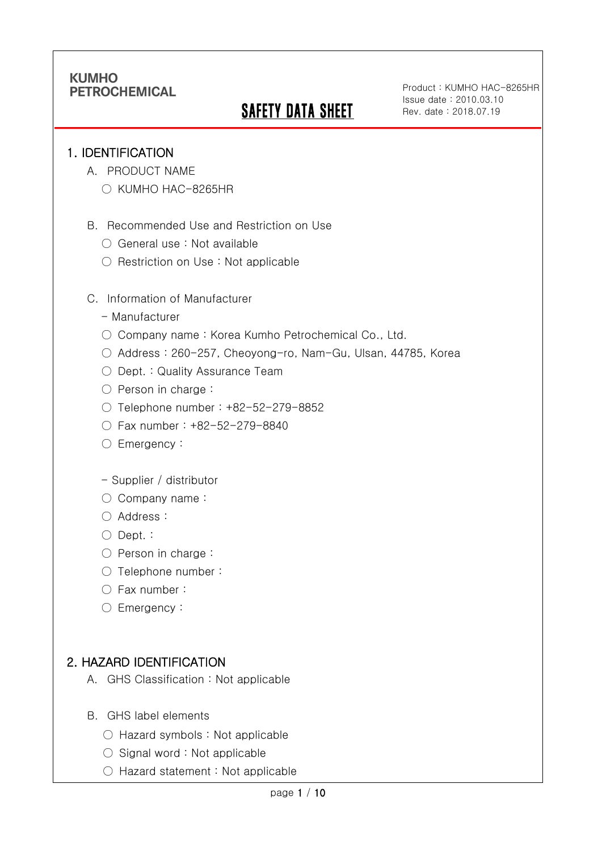# **SAFETY DATA SHEET**

Product : KUMHO HAC-8265HR Issue date : 2010.03.10 Rev. date : 2018.07.19

### 1. IDENTIFICATION

Ī

- A. PRODUCT NAME
	- KUMHO HAC-8265HR
- B. Recommended Use and Restriction on Use
	- General use : Not available
	- Restriction on Use : Not applicable
- C. Information of Manufacturer
	- Manufacturer
	- Company name: Korea Kumho Petrochemical Co., Ltd.
	- Address : 260-257, Cheoyong-ro, Nam-Gu, Ulsan, 44785, Korea
	- Dept. : Quality Assurance Team
	- Person in charge :
	- Telephone number : +82-52-279-8852
	- Fax number : +82-52-279-8840
	- Emergency:
	- Supplier / distributor
	- Company name:
	- Address :
	- Dept. :
	- Person in charge :
	- Telephone number :
	- Fax number :
	- Emergency:

# 2. HAZARD IDENTIFICATION

- A. GHS Classification : Not applicable
- B. GHS label elements
	- Hazard symbols : Not applicable
	- $\bigcirc$  Signal word : Not applicable
	- Hazard statement : Not applicable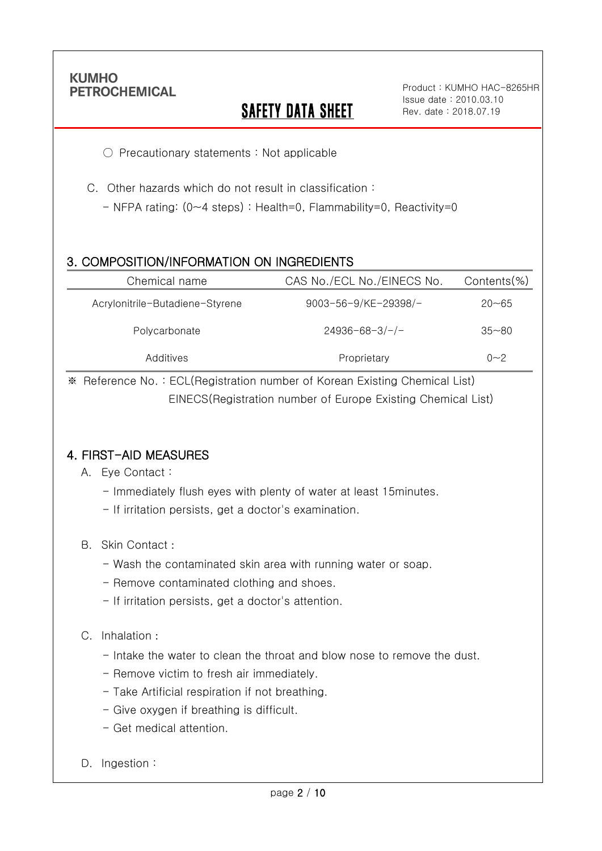Ī

# **SAFETY DATA SHEET**

Product : KUMHO HAC-8265HR Issue date : 2010.03.10 Rev. date : 2018.07.19

○ Precautionary statements : Not applicable

C. Other hazards which do not result in classification :

- NFPA rating: (0~4 steps) : Health=0, Flammability=0, Reactivity=0

### 3. COMPOSITION/INFORMATION ON INGREDIENTS

| Chemical name                   | CAS No./ECL No./EINECS No. | $Contents$ %) |
|---------------------------------|----------------------------|---------------|
| Acrylonitrile-Butadiene-Styrene | 9003-56-9/KE-29398/-       | $20 - 65$     |
| Polycarbonate                   | $24936 - 68 - 3/-/-$       | $35 - 80$     |
| Additives                       | Proprietary                | $0 - 2$       |

※ Reference No. : ECL(Registration number of Korean Existing Chemical List) EINECS(Registration number of Europe Existing Chemical List)

### 4. FIRST-AID MEASURES

- A. Eye Contact :
	- Immediately flush eyes with plenty of water at least 15minutes.
	- If irritation persists, get a doctor's examination.
- B. Skin Contact :
	- Wash the contaminated skin area with running water or soap.
	- Remove contaminated clothing and shoes.
	- If irritation persists, get a doctor's attention.

#### C. Inhalation :

- Intake the water to clean the throat and blow nose to remove the dust.
- Remove victim to fresh air immediately.
- Take Artificial respiration if not breathing.
- Give oxygen if breathing is difficult.
- Get medical attention.
- D. Ingestion: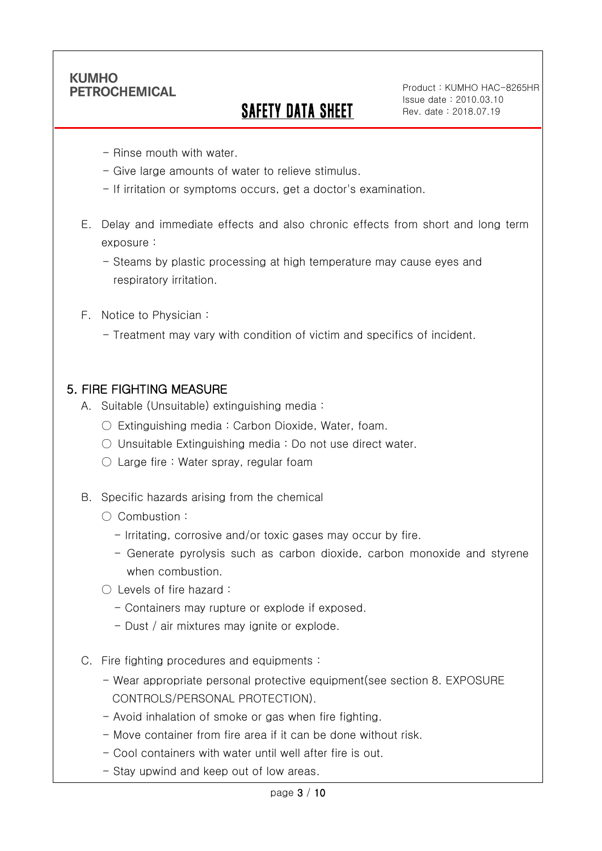Ī

# SAFETY DATA SHEET

Product : KUMHO HAC-8265HR Issue date : 2010.03.10 Rev. date : 2018.07.19

- Rinse mouth with water.
- Give large amounts of water to relieve stimulus.
- If irritation or symptoms occurs, get a doctor's examination.
- E. Delay and immediate effects and also chronic effects from short and long term exposure :
	- Steams by plastic processing at high temperature may cause eyes and respiratory irritation.
- F. Notice to Physician :
	- Treatment may vary with condition of victim and specifics of incident.

### 5. FIRE FIGHTING MEASURE

- A. Suitable (Unsuitable) extinguishing media :
	- Extinguishing media : Carbon Dioxide, Water, foam.
	- Unsuitable Extinguishing media : Do not use direct water.
	- $\circlearrowright$  Large fire : Water spray, regular foam
- B. Specific hazards arising from the chemical
	- Combustion :
		- Irritating, corrosive and/or toxic gases may occur by fire.
		- Generate pyrolysis such as carbon dioxide, carbon monoxide and styrene when combustion.
	- Levels of fire hazard :
		- Containers may rupture or explode if exposed.
		- Dust / air mixtures may ignite or explode.
- C. Fire fighting procedures and equipments :
	- Wear appropriate personal protective equipment(see section 8. EXPOSURE CONTROLS/PERSONAL PROTECTION).
	- Avoid inhalation of smoke or gas when fire fighting.
	- Move container from fire area if it can be done without risk.
	- Cool containers with water until well after fire is out.
	- Stay upwind and keep out of low areas.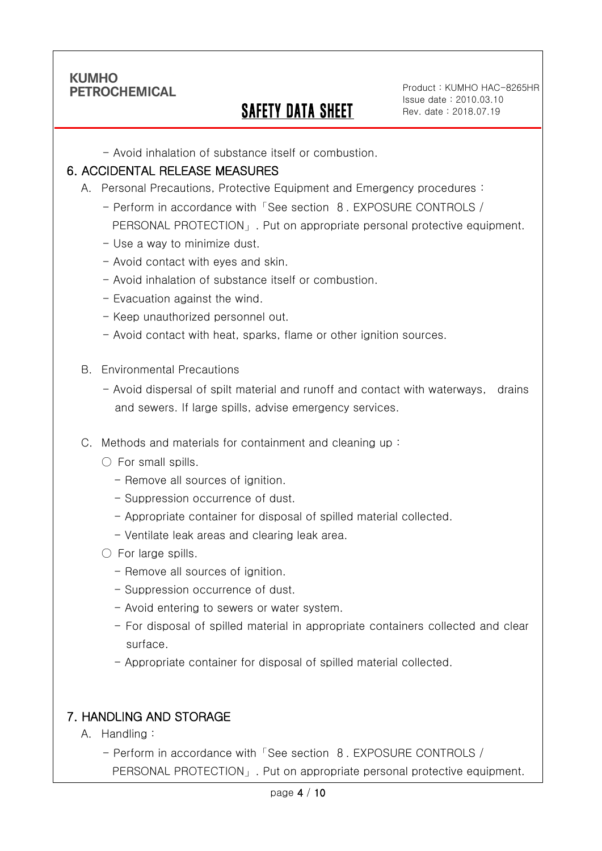Ī

# SAFETY DATA SHEET

Product : KUMHO HAC-8265HR Issue date : 2010.03.10 Rev. date : 2018.07.19

- Avoid inhalation of substance itself or combustion.

#### 6. ACCIDENTAL RELEASE MEASURES

- A. Personal Precautions, Protective Equipment and Emergency procedures :
	- Perform in accordance with「See section 8. EXPOSURE CONTROLS / PERSONAL PROTECTION」. Put on appropriate personal protective equipment.
	- Use a way to minimize dust.
	- Avoid contact with eyes and skin.
	- Avoid inhalation of substance itself or combustion.
	- Evacuation against the wind.
	- Keep unauthorized personnel out.
	- Avoid contact with heat, sparks, flame or other ignition sources.
- B. Environmental Precautions
	- Avoid dispersal of spilt material and runoff and contact with waterways, drains and sewers. If large spills, advise emergency services.
- C. Methods and materials for containment and cleaning up :
	- $\bigcirc$  For small spills.
		- Remove all sources of ignition.
		- Suppression occurrence of dust.
		- Appropriate container for disposal of spilled material collected.
		- Ventilate leak areas and clearing leak area.
	- For large spills.
		- Remove all sources of ignition.
		- Suppression occurrence of dust.
		- Avoid entering to sewers or water system.
		- For disposal of spilled material in appropriate containers collected and clear surface.
		- Appropriate container for disposal of spilled material collected.

### 7. HANDLING AND STORAGE

- A. Handling :
	- Perform in accordance with「See section 8. EXPOSURE CONTROLS / PERSONAL PROTECTION」. Put on appropriate personal protective equipment.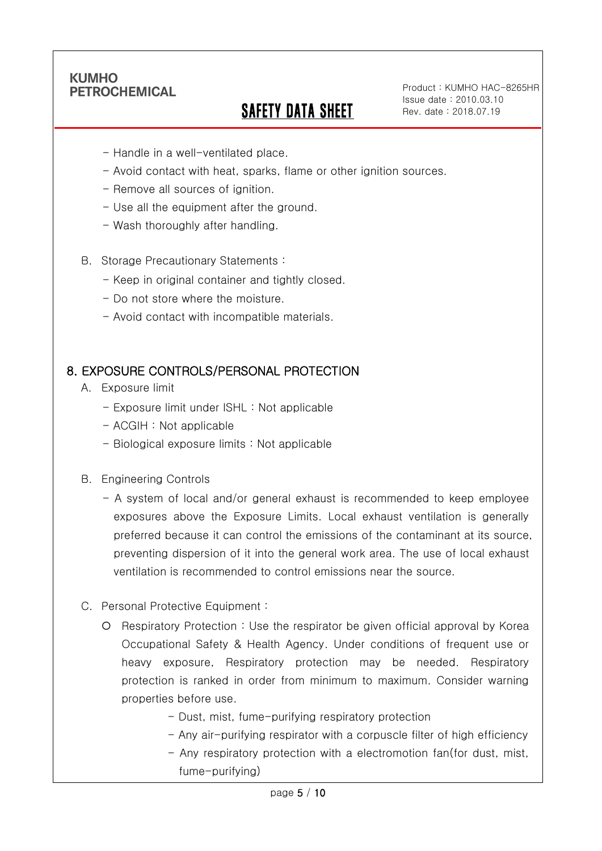Ī

# SAFETY DATA SHEET

Product : KUMHO HAC-8265HR Issue date : 2010.03.10 Rev. date : 2018.07.19

- Handle in a well-ventilated place.
- Avoid contact with heat, sparks, flame or other ignition sources.
- Remove all sources of ignition.
- Use all the equipment after the ground.
- Wash thoroughly after handling.
- B. Storage Precautionary Statements :
	- Keep in original container and tightly closed.
	- Do not store where the moisture.
	- Avoid contact with incompatible materials.

### 8. EXPOSURE CONTROLS/PERSONAL PROTECTION

- A. Exposure limit
	- Exposure limit under ISHL : Not applicable
	- ACGIH : Not applicable
	- Biological exposure limits : Not applicable
- B. Engineering Controls
	- A system of local and/or general exhaust is recommended to keep employee exposures above the Exposure Limits. Local exhaust ventilation is generally preferred because it can control the emissions of the contaminant at its source, preventing dispersion of it into the general work area. The use of local exhaust ventilation is recommended to control emissions near the source.
- C. Personal Protective Equipment :
	- Respiratory Protection : Use the respirator be given official approval by Korea Occupational Safety & Health Agency. Under conditions of frequent use or heavy exposure, Respiratory protection may be needed. Respiratory protection is ranked in order from minimum to maximum. Consider warning properties before use.
		- Dust, mist, fume-purifying respiratory protection
		- Any air-purifying respirator with a corpuscle filter of high efficiency
		- Any respiratory protection with a electromotion fan(for dust, mist, fume-purifying)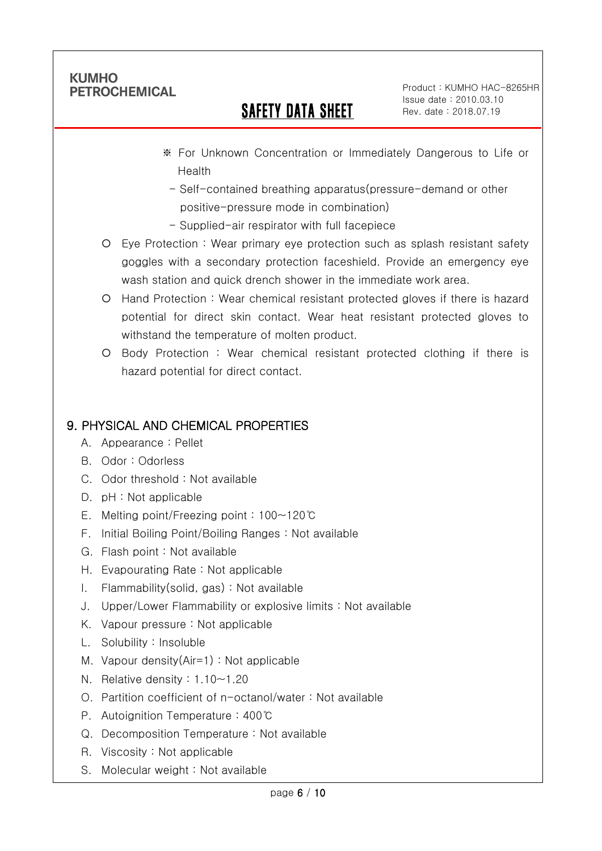Ī

# SAFETY DATA SHEET

Product : KUMHO HAC-8265HR Issue date : 2010.03.10 Rev. date : 2018.07.19

- ※ For Unknown Concentration or Immediately Dangerous to Life or Health
	- Self-contained breathing apparatus(pressure-demand or other positive-pressure mode in combination)
- Supplied-air respirator with full facepiece
- Eye Protection : Wear primary eye protection such as splash resistant safety goggles with a secondary protection faceshield. Provide an emergency eye wash station and quick drench shower in the immediate work area.
- Hand Protection : Wear chemical resistant protected gloves if there is hazard potential for direct skin contact. Wear heat resistant protected gloves to withstand the temperature of molten product.
- Body Protection : Wear chemical resistant protected clothing if there is hazard potential for direct contact.

# 9. PHYSICAL AND CHEMICAL PROPERTIES

- A. Appearance : Pellet
- B. Odor : Odorless
- C. Odor threshold : Not available
- D. pH : Not applicable
- E. Melting point/Freezing point : 100~120℃
- F. Initial Boiling Point/Boiling Ranges : Not available
- G. Flash point : Not available
- H. Evapourating Rate : Not applicable
- I. Flammability(solid, gas) : Not available
- J. Upper/Lower Flammability or explosive limits : Not available
- K. Vapour pressure : Not applicable
- L. Solubility : Insoluble
- M. Vapour density(Air=1) : Not applicable
- N. Relative density : 1.10~1.20
- O. Partition coefficient of n-octanol/water : Not available
- P. Autoignition Temperature : 400℃
- Q. Decomposition Temperature : Not available
- R. Viscosity : Not applicable
- S. Molecular weight : Not available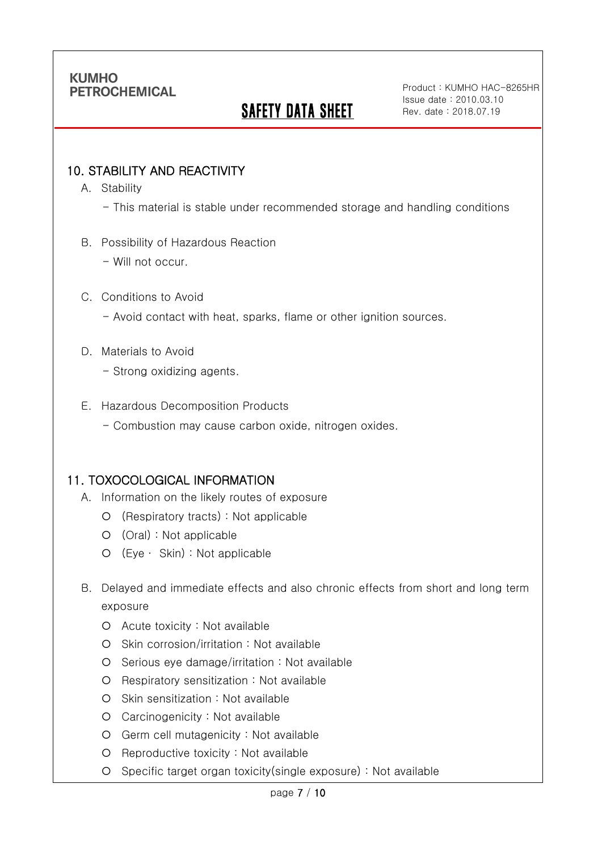# **SAFETY DATA SHEET**

Product : KUMHO HAC-8265HR Issue date : 2010.03.10 Rev. date : 2018.07.19

### 10. STABILITY AND REACTIVITY

A. Stability

Ī

- This material is stable under recommended storage and handling conditions
- B. Possibility of Hazardous Reaction
	- Will not occur.

#### C. Conditions to Avoid

- Avoid contact with heat, sparks, flame or other ignition sources.
- D. Materials to Avoid
	- Strong oxidizing agents.
- E. Hazardous Decomposition Products
	- Combustion may cause carbon oxide, nitrogen oxides.

#### 11. TOXOCOLOGICAL INFORMATION

- A. Information on the likely routes of exposure
	- (Respiratory tracts) : Not applicable
	- (Oral) : Not applicable
	- (Eye ∙ Skin) : Not applicable
- B. Delayed and immediate effects and also chronic effects from short and long term exposure
	- Acute toxicity : Not available
	- O Skin corrosion/irritation : Not available
	- $O$  Serious eye damage/irritation : Not available
	- Respiratory sensitization : Not available
	- O Skin sensitization : Not available
	- Carcinogenicity : Not available
	- Germ cell mutagenicity : Not available
	- O Reproductive toxicity : Not available
	- Specific target organ toxicity(single exposure) : Not available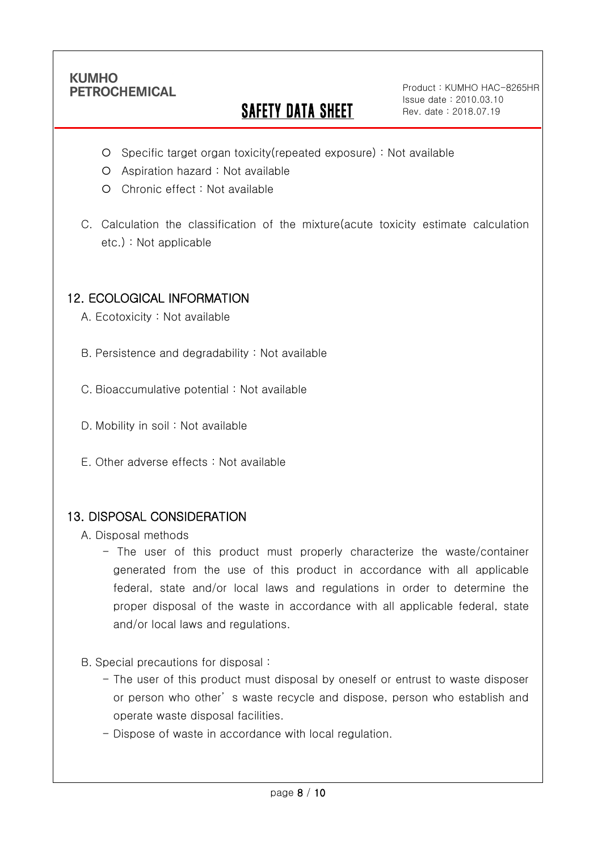Ī

# **SAFETY DATA SHEET**

Product : KUMHO HAC-8265HR Issue date : 2010.03.10 Rev. date : 2018.07.19

- Specific target organ toxicity(repeated exposure) : Not available
- Aspiration hazard : Not available
- Chronic effect : Not available
- C. Calculation the classification of the mixture(acute toxicity estimate calculation etc.) : Not applicable

### 12. ECOLOGICAL INFORMATION

A. Ecotoxicity : Not available

B. Persistence and degradability : Not available

C. Bioaccumulative potential : Not available

- D. Mobility in soil : Not available
- E. Other adverse effects : Not available

#### 13. DISPOSAL CONSIDERATION

A. Disposal methods

- The user of this product must properly characterize the waste/container generated from the use of this product in accordance with all applicable federal, state and/or local laws and regulations in order to determine the proper disposal of the waste in accordance with all applicable federal, state and/or local laws and regulations.
- B. Special precautions for disposal :
	- The user of this product must disposal by oneself or entrust to waste disposer or person who other' s waste recycle and dispose, person who establish and operate waste disposal facilities.
	- Dispose of waste in accordance with local regulation.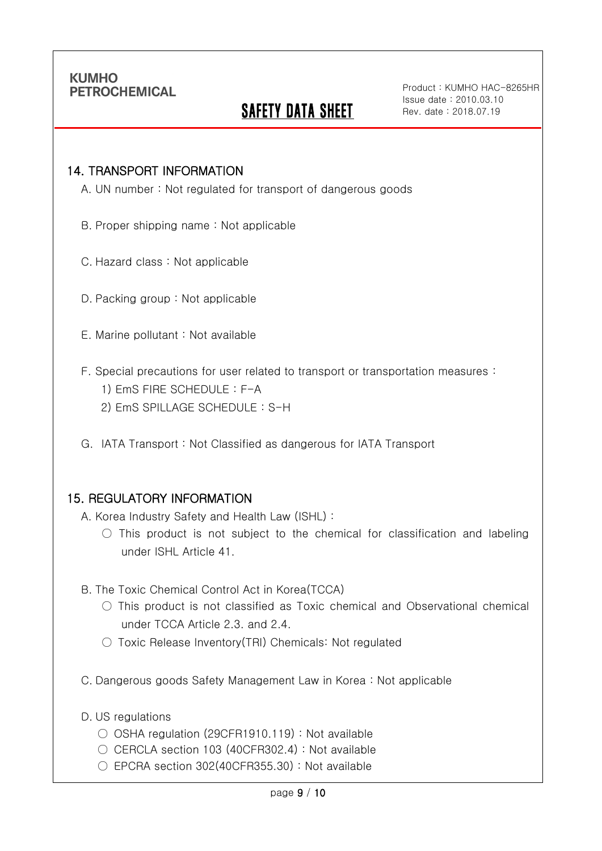Ī

# **SAFETY DATA SHEET**

Product : KUMHO HAC-8265HR Issue date : 2010.03.10 Rev. date : 2018.07.19

#### 14. TRANSPORT INFORMATION

A. UN number : Not regulated for transport of dangerous goods

- B. Proper shipping name : Not applicable
- C. Hazard class : Not applicable
- D. Packing group : Not applicable
- E. Marine pollutant : Not available
- F. Special precautions for user related to transport or transportation measures :
	- 1) EmS FIRE SCHEDULE : F-A
	- 2) EmS SPILLAGE SCHEDULE : S-H
- G. IATA Transport : Not Classified as dangerous for IATA Transport

#### 15. REGULATORY INFORMATION

A. Korea Industry Safety and Health Law (ISHL) :

- $\bigcirc$  This product is not subject to the chemical for classification and labeling under ISHL Article 41.
- B. The Toxic Chemical Control Act in Korea(TCCA)
	- $\bigcirc$  This product is not classified as Toxic chemical and Observational chemical under TCCA Article 2.3. and 2.4.
	- Toxic Release Inventory(TRI) Chemicals: Not regulated
- C. Dangerous goods Safety Management Law in Korea : Not applicable
- D. US regulations
	- OSHA regulation (29CFR1910.119) : Not available
	- CERCLA section 103 (40CFR302.4) : Not available
	- $\circ$  EPCRA section 302(40CFR355.30) : Not available